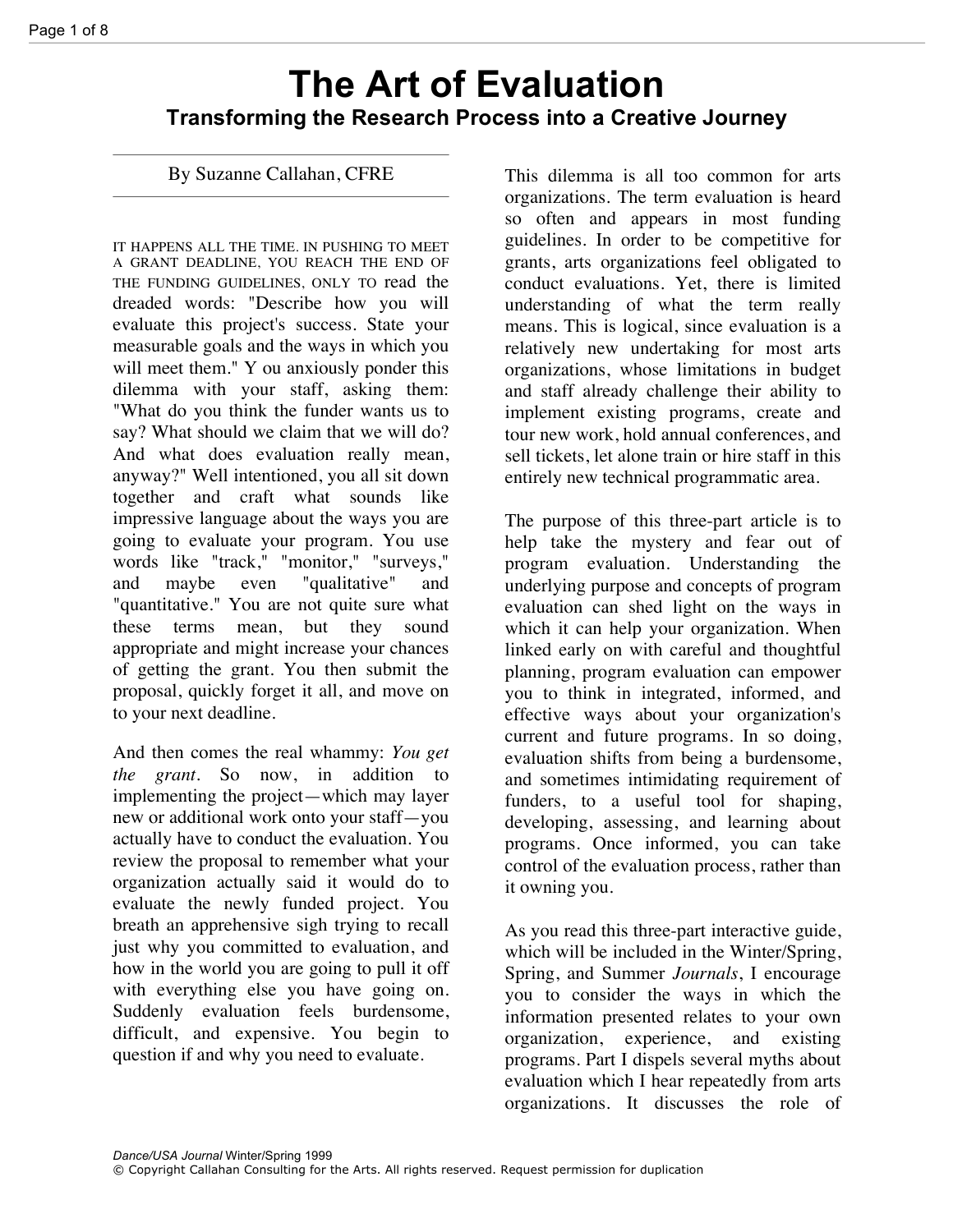# **The Art of Evaluation Transforming the Research Process into a Creative Journey**

By Suzanne Callahan, CFRE

IT HAPPENS ALL THE TIME. IN PUSHING TO MEET A GRANT DEADLINE, YOU REACH THE END OF THE FUNDING GUIDELINES, ONLY TO read the dreaded words: "Describe how you will evaluate this project's success. State your measurable goals and the ways in which you will meet them." Y ou anxiously ponder this dilemma with your staff, asking them: "What do you think the funder wants us to say? What should we claim that we will do? And what does evaluation really mean, anyway?" Well intentioned, you all sit down together and craft what sounds like impressive language about the ways you are going to evaluate your program. You use words like "track," "monitor," "surveys," and maybe even "qualitative" and "quantitative." You are not quite sure what these terms mean, but they sound appropriate and might increase your chances of getting the grant. You then submit the proposal, quickly forget it all, and move on to your next deadline.

And then comes the real whammy: *You get the grant.* So now, in addition to implementing the project—which may layer new or additional work onto your staff—you actually have to conduct the evaluation. You review the proposal to remember what your organization actually said it would do to evaluate the newly funded project. You breath an apprehensive sigh trying to recall just why you committed to evaluation, and how in the world you are going to pull it off with everything else you have going on. Suddenly evaluation feels burdensome, difficult, and expensive. You begin to question if and why you need to evaluate.

This dilemma is all too common for arts organizations. The term evaluation is heard so often and appears in most funding guidelines. In order to be competitive for grants, arts organizations feel obligated to conduct evaluations. Yet, there is limited understanding of what the term really means. This is logical, since evaluation is a relatively new undertaking for most arts organizations, whose limitations in budget and staff already challenge their ability to implement existing programs, create and tour new work, hold annual conferences, and sell tickets, let alone train or hire staff in this entirely new technical programmatic area.

The purpose of this three-part article is to help take the mystery and fear out of program evaluation. Understanding the underlying purpose and concepts of program evaluation can shed light on the ways in which it can help your organization. When linked early on with careful and thoughtful planning, program evaluation can empower you to think in integrated, informed, and effective ways about your organization's current and future programs. In so doing, evaluation shifts from being a burdensome, and sometimes intimidating requirement of funders, to a useful tool for shaping, developing, assessing, and learning about programs. Once informed, you can take control of the evaluation process, rather than it owning you.

As you read this three-part interactive guide, which will be included in the Winter/Spring, Spring, and Summer *Journals*, I encourage you to consider the ways in which the information presented relates to your own organization, experience, and existing programs. Part I dispels several myths about evaluation which I hear repeatedly from arts organizations. It discusses the role of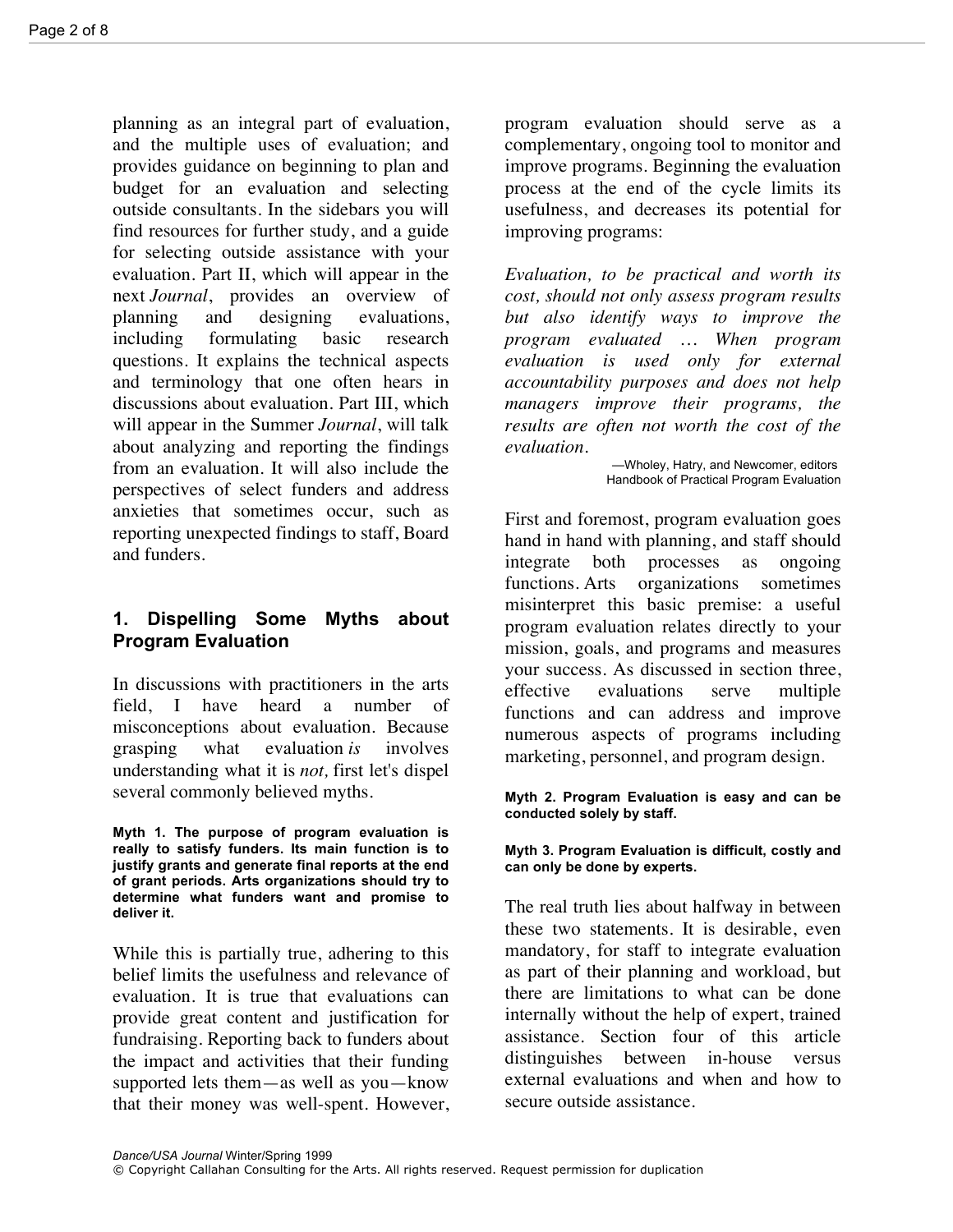planning as an integral part of evaluation, and the multiple uses of evaluation; and provides guidance on beginning to plan and budget for an evaluation and selecting outside consultants. In the sidebars you will find resources for further study, and a guide for selecting outside assistance with your evaluation. Part II, which will appear in the next *Journal*, provides an overview of planning and designing evaluations, including formulating basic research questions. It explains the technical aspects and terminology that one often hears in discussions about evaluation. Part III, which will appear in the Summer *Journal*, will talk about analyzing and reporting the findings from an evaluation. It will also include the perspectives of select funders and address anxieties that sometimes occur, such as reporting unexpected findings to staff, Board and funders.

# **1. Dispelling Some Myths about Program Evaluation**

In discussions with practitioners in the arts field, I have heard a number of misconceptions about evaluation. Because grasping what evaluation *is* involves understanding what it is *not,* first let's dispel several commonly believed myths.

**Myth 1. The purpose of program evaluation is really to satisfy funders. Its main function is to justify grants and generate final reports at the end of grant periods. Arts organizations should try to determine what funders want and promise to deliver it.**

While this is partially true, adhering to this belief limits the usefulness and relevance of evaluation. It is true that evaluations can provide great content and justification for fundraising. Reporting back to funders about the impact and activities that their funding supported lets them—as well as you—know that their money was well-spent. However, program evaluation should serve as a complementary, ongoing tool to monitor and improve programs. Beginning the evaluation process at the end of the cycle limits its usefulness, and decreases its potential for improving programs:

*Evaluation, to be practical and worth its cost, should not only assess program results but also identify ways to improve the program evaluated … When program evaluation is used only for external accountability purposes and does not help managers improve their programs, the results are often not worth the cost of the evaluation*.

> —Wholey, Hatry, and Newcomer, editors Handbook of Practical Program Evaluation

First and foremost, program evaluation goes hand in hand with planning, and staff should integrate both processes as ongoing functions*.* Arts organizations sometimes misinterpret this basic premise: a useful program evaluation relates directly to your mission, goals, and programs and measures your success. As discussed in section three, effective evaluations serve multiple functions and can address and improve numerous aspects of programs including marketing, personnel, and program design.

**Myth 2. Program Evaluation is easy and can be conducted solely by staff.**

#### **Myth 3. Program Evaluation is difficult, costly and can only be done by experts.**

The real truth lies about halfway in between these two statements. It is desirable, even mandatory, for staff to integrate evaluation as part of their planning and workload, but there are limitations to what can be done internally without the help of expert, trained assistance. Section four of this article distinguishes between in-house versus external evaluations and when and how to secure outside assistance.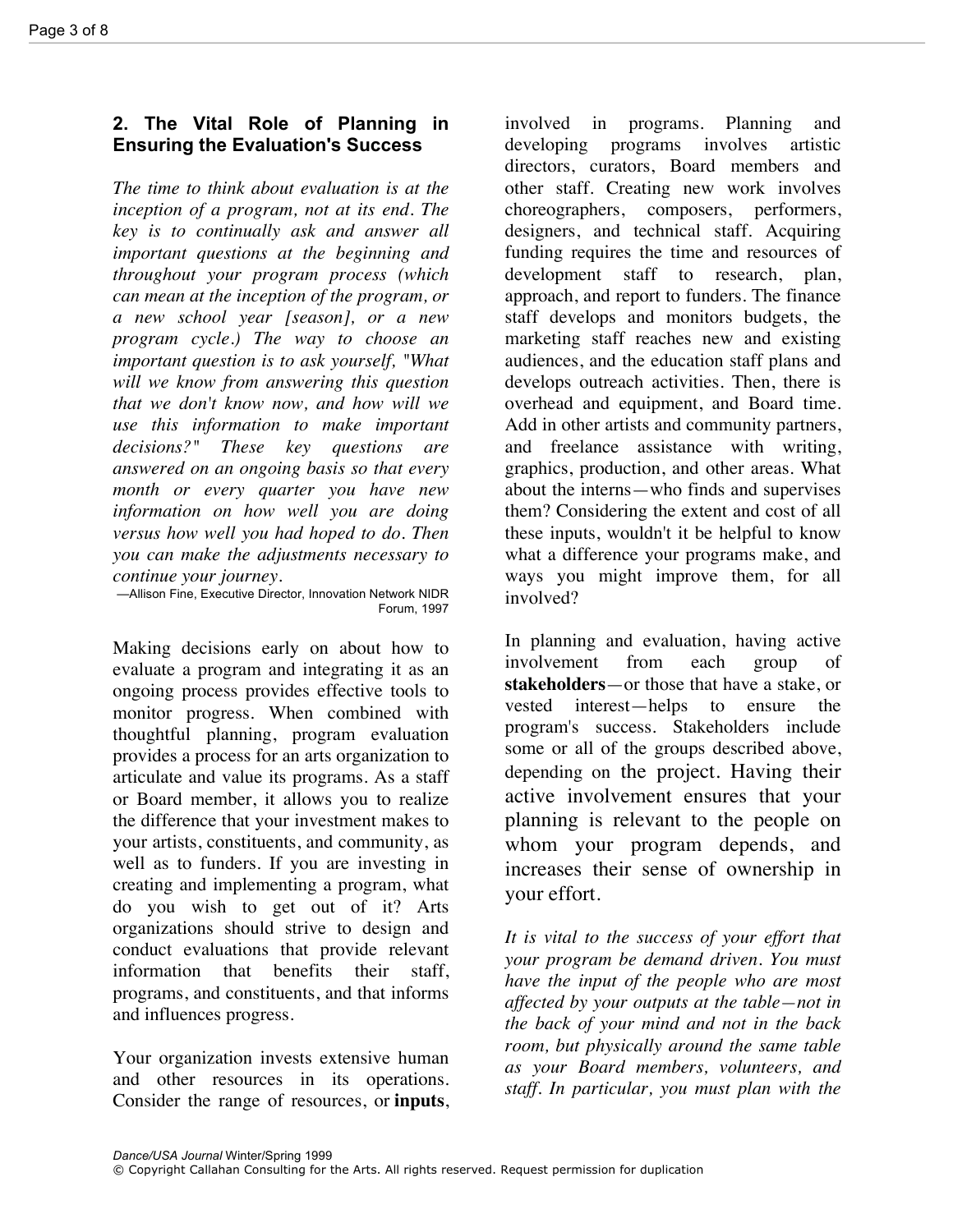# **2. The Vital Role of Planning in Ensuring the Evaluation's Success**

*The time to think about evaluation is at the inception of a program, not at its end. The key is to continually ask and answer all important questions at the beginning and throughout your program process (which can mean at the inception of the program, or a new school year [season], or a new program cycle.) The way to choose an important question is to ask yourself, "What will we know from answering this question that we don't know now, and how will we use this information to make important decisions?" These key questions are answered on an ongoing basis so that every month or every quarter you have new information on how well you are doing versus how well you had hoped to do. Then you can make the adjustments necessary to continue your journey.*

—Allison Fine, Executive Director, Innovation Network NIDR Forum, 1997

Making decisions early on about how to evaluate a program and integrating it as an ongoing process provides effective tools to monitor progress. When combined with thoughtful planning, program evaluation provides a process for an arts organization to articulate and value its programs. As a staff or Board member, it allows you to realize the difference that your investment makes to your artists, constituents, and community, as well as to funders. If you are investing in creating and implementing a program, what do you wish to get out of it? Arts organizations should strive to design and conduct evaluations that provide relevant information that benefits their staff, programs, and constituents, and that informs and influences progress.

Your organization invests extensive human and other resources in its operations. Consider the range of resources, or **inputs**, involved in programs. Planning and developing programs involves artistic directors, curators, Board members and other staff. Creating new work involves choreographers, composers, performers, designers, and technical staff. Acquiring funding requires the time and resources of development staff to research, plan, approach, and report to funders. The finance staff develops and monitors budgets, the marketing staff reaches new and existing audiences, and the education staff plans and develops outreach activities. Then, there is overhead and equipment, and Board time. Add in other artists and community partners, and freelance assistance with writing, graphics, production, and other areas. What about the interns—who finds and supervises them? Considering the extent and cost of all these inputs, wouldn't it be helpful to know what a difference your programs make, and ways you might improve them, for all involved?

In planning and evaluation, having active involvement from each group of **stakeholders**—or those that have a stake, or vested interest—helps to ensure the program's success. Stakeholders include some or all of the groups described above, depending on the project. Having their active involvement ensures that your planning is relevant to the people on whom your program depends, and increases their sense of ownership in your effort.

*It is vital to the success of your effort that your program be demand driven. You must have the input of the people who are most affected by your outputs at the table—not in the back of your mind and not in the back room, but physically around the same table as your Board members, volunteers, and staff. In particular, you must plan with the*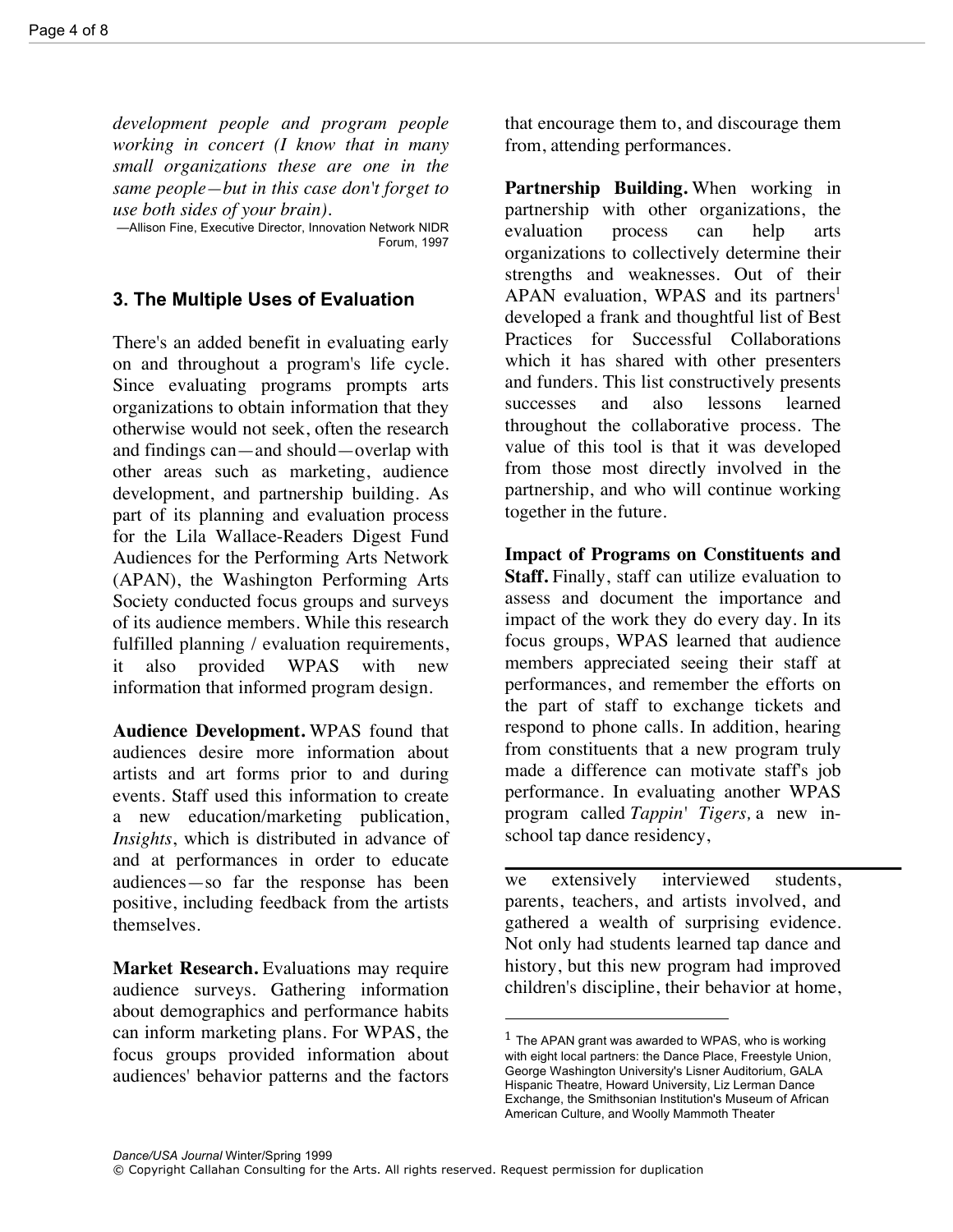*development people and program people working in concert (I know that in many small organizations these are one in the same people—but in this case don't forget to use both sides of your brain).*

—Allison Fine, Executive Director, Innovation Network NIDR Forum, 1997

#### **3. The Multiple Uses of Evaluation**

There's an added benefit in evaluating early on and throughout a program's life cycle. Since evaluating programs prompts arts organizations to obtain information that they otherwise would not seek, often the research and findings can—and should—overlap with other areas such as marketing, audience development, and partnership building. As part of its planning and evaluation process for the Lila Wallace-Readers Digest Fund Audiences for the Performing Arts Network (APAN), the Washington Performing Arts Society conducted focus groups and surveys of its audience members. While this research fulfilled planning / evaluation requirements, it also provided WPAS with new information that informed program design.

**Audience Development.** WPAS found that audiences desire more information about artists and art forms prior to and during events. Staff used this information to create a new education/marketing publication, *Insights*, which is distributed in advance of and at performances in order to educate audiences—so far the response has been positive, including feedback from the artists themselves.

**Market Research.** Evaluations may require audience surveys. Gathering information about demographics and performance habits can inform marketing plans. For WPAS, the focus groups provided information about audiences' behavior patterns and the factors

that encourage them to, and discourage them from, attending performances.

**Partnership Building.** When working in partnership with other organizations, the evaluation process can help arts organizations to collectively determine their strengths and weaknesses. Out of their APAN evaluation, WPAS and its partners<sup>1</sup> developed a frank and thoughtful list of Best Practices for Successful Collaborations which it has shared with other presenters and funders. This list constructively presents successes and also lessons learned throughout the collaborative process. The value of this tool is that it was developed from those most directly involved in the partnership, and who will continue working together in the future.

**Impact of Programs on Constituents and Staff.** Finally, staff can utilize evaluation to assess and document the importance and impact of the work they do every day. In its focus groups, WPAS learned that audience members appreciated seeing their staff at performances, and remember the efforts on the part of staff to exchange tickets and respond to phone calls. In addition, hearing from constituents that a new program truly made a difference can motivate staff's job performance. In evaluating another WPAS program called *Tappin' Tigers,* a new inschool tap dance residency,

we extensively interviewed students, parents, teachers, and artists involved, and gathered a wealth of surprising evidence. Not only had students learned tap dance and history, but this new program had improved children's discipline, their behavior at home,

 $<sup>1</sup>$  The APAN grant was awarded to WPAS, who is working</sup> with eight local partners: the Dance Place, Freestyle Union, George Washington University's Lisner Auditorium, GALA Hispanic Theatre, Howard University, Liz Lerman Dance Exchange, the Smithsonian Institution's Museum of African American Culture, and Woolly Mammoth Theater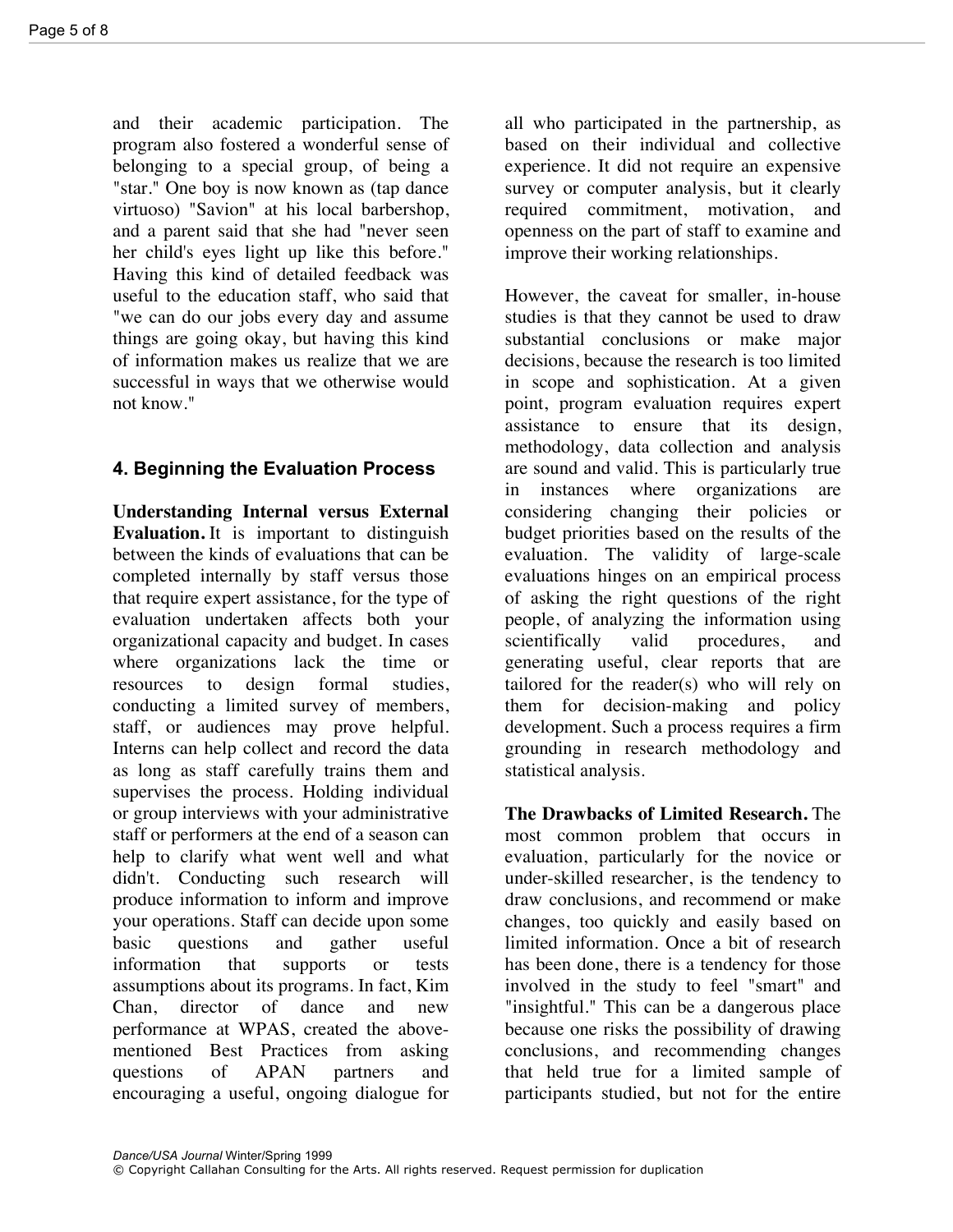and their academic participation. The program also fostered a wonderful sense of belonging to a special group, of being a "star." One boy is now known as (tap dance virtuoso) "Savion" at his local barbershop, and a parent said that she had "never seen her child's eyes light up like this before." Having this kind of detailed feedback was useful to the education staff, who said that "we can do our jobs every day and assume things are going okay, but having this kind of information makes us realize that we are successful in ways that we otherwise would not know."

# **4. Beginning the Evaluation Process**

**Understanding Internal versus External Evaluation.** It is important to distinguish between the kinds of evaluations that can be completed internally by staff versus those that require expert assistance, for the type of evaluation undertaken affects both your organizational capacity and budget. In cases where organizations lack the time or resources to design formal studies, conducting a limited survey of members, staff, or audiences may prove helpful. Interns can help collect and record the data as long as staff carefully trains them and supervises the process. Holding individual or group interviews with your administrative staff or performers at the end of a season can help to clarify what went well and what didn't. Conducting such research will produce information to inform and improve your operations. Staff can decide upon some basic questions and gather useful information that supports or tests assumptions about its programs. In fact, Kim Chan, director of dance and new performance at WPAS, created the abovementioned Best Practices from asking questions of APAN partners and encouraging a useful, ongoing dialogue for

all who participated in the partnership, as based on their individual and collective experience. It did not require an expensive survey or computer analysis, but it clearly required commitment, motivation, and openness on the part of staff to examine and improve their working relationships.

However, the caveat for smaller, in-house studies is that they cannot be used to draw substantial conclusions or make major decisions, because the research is too limited in scope and sophistication. At a given point, program evaluation requires expert assistance to ensure that its design, methodology, data collection and analysis are sound and valid. This is particularly true in instances where organizations are considering changing their policies or budget priorities based on the results of the evaluation. The validity of large-scale evaluations hinges on an empirical process of asking the right questions of the right people, of analyzing the information using scientifically valid procedures, and generating useful, clear reports that are tailored for the reader(s) who will rely on them for decision-making and policy development. Such a process requires a firm grounding in research methodology and statistical analysis.

**The Drawbacks of Limited Research.** The most common problem that occurs in evaluation, particularly for the novice or under-skilled researcher, is the tendency to draw conclusions, and recommend or make changes, too quickly and easily based on limited information. Once a bit of research has been done, there is a tendency for those involved in the study to feel "smart" and "insightful." This can be a dangerous place because one risks the possibility of drawing conclusions, and recommending changes that held true for a limited sample of participants studied, but not for the entire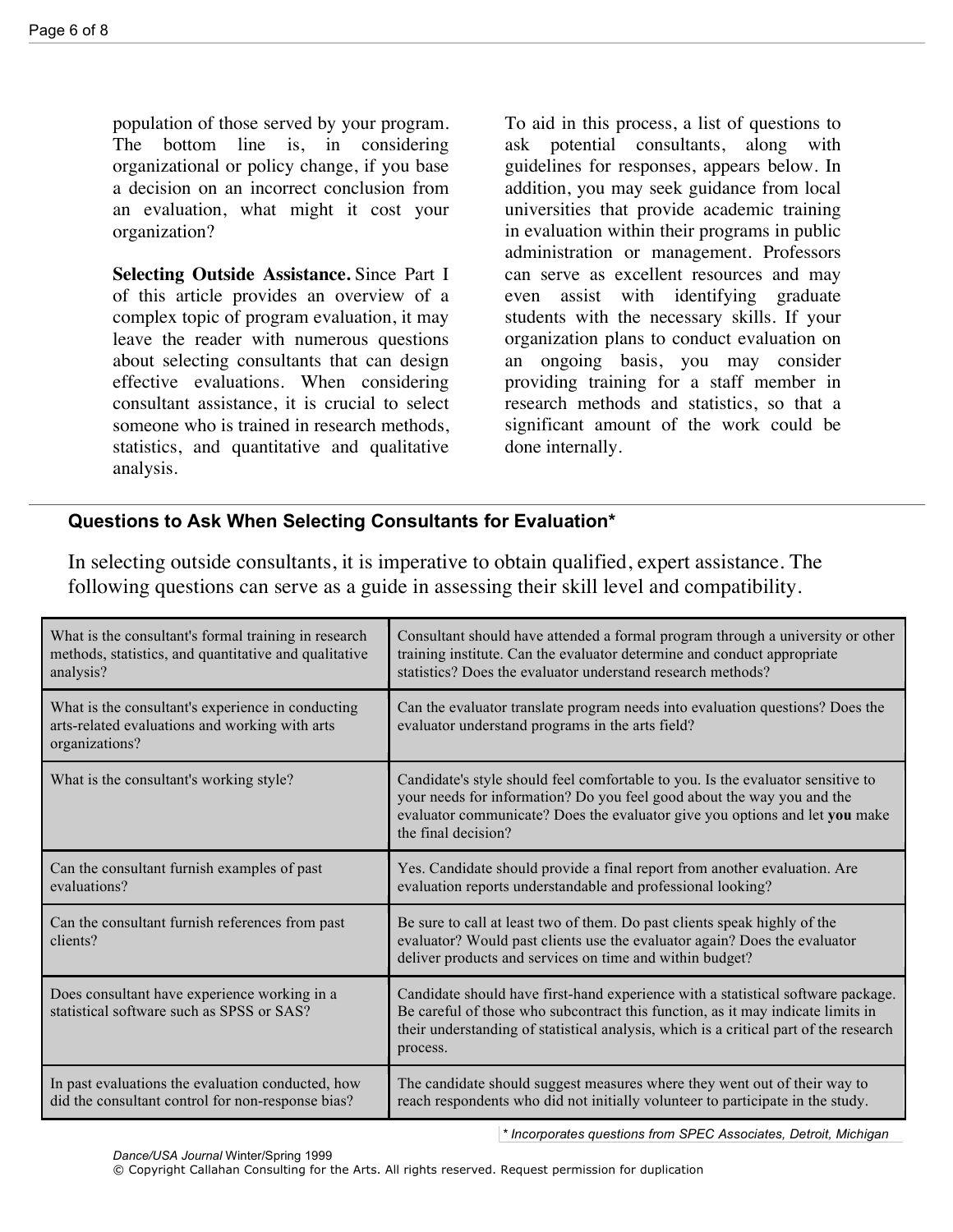population of those served by your program. The bottom line is, in considering organizational or policy change, if you base a decision on an incorrect conclusion from an evaluation, what might it cost your organization?

**Selecting Outside Assistance.** Since Part I of this article provides an overview of a complex topic of program evaluation, it may leave the reader with numerous questions about selecting consultants that can design effective evaluations. When considering consultant assistance, it is crucial to select someone who is trained in research methods, statistics, and quantitative and qualitative analysis.

To aid in this process, a list of questions to ask potential consultants, along with guidelines for responses, appears below. In addition, you may seek guidance from local universities that provide academic training in evaluation within their programs in public administration or management. Professors can serve as excellent resources and may even assist with identifying graduate students with the necessary skills. If your organization plans to conduct evaluation on an ongoing basis, you may consider providing training for a staff member in research methods and statistics, so that a significant amount of the work could be done internally.

# **Questions to Ask When Selecting Consultants for Evaluation\***

In selecting outside consultants, it is imperative to obtain qualified, expert assistance. The following questions can serve as a guide in assessing their skill level and compatibility.

| What is the consultant's formal training in research<br>methods, statistics, and quantitative and qualitative<br>analysis? | Consultant should have attended a formal program through a university or other<br>training institute. Can the evaluator determine and conduct appropriate<br>statistics? Does the evaluator understand research methods?                                                 |
|----------------------------------------------------------------------------------------------------------------------------|--------------------------------------------------------------------------------------------------------------------------------------------------------------------------------------------------------------------------------------------------------------------------|
| What is the consultant's experience in conducting<br>arts-related evaluations and working with arts<br>organizations?      | Can the evaluator translate program needs into evaluation questions? Does the<br>evaluator understand programs in the arts field?                                                                                                                                        |
| What is the consultant's working style?                                                                                    | Candidate's style should feel comfortable to you. Is the evaluator sensitive to<br>your needs for information? Do you feel good about the way you and the<br>evaluator communicate? Does the evaluator give you options and let you make<br>the final decision?          |
| Can the consultant furnish examples of past<br>evaluations?                                                                | Yes. Candidate should provide a final report from another evaluation. Are<br>evaluation reports understandable and professional looking?                                                                                                                                 |
| Can the consultant furnish references from past<br>clients?                                                                | Be sure to call at least two of them. Do past clients speak highly of the<br>evaluator? Would past clients use the evaluator again? Does the evaluator<br>deliver products and services on time and within budget?                                                       |
| Does consultant have experience working in a<br>statistical software such as SPSS or SAS?                                  | Candidate should have first-hand experience with a statistical software package.<br>Be careful of those who subcontract this function, as it may indicate limits in<br>their understanding of statistical analysis, which is a critical part of the research<br>process. |
| In past evaluations the evaluation conducted, how<br>did the consultant control for non-response bias?                     | The candidate should suggest measures where they went out of their way to<br>reach respondents who did not initially volunteer to participate in the study.                                                                                                              |

*\* Incorporates questions from SPEC Associates, Detroit, Michigan*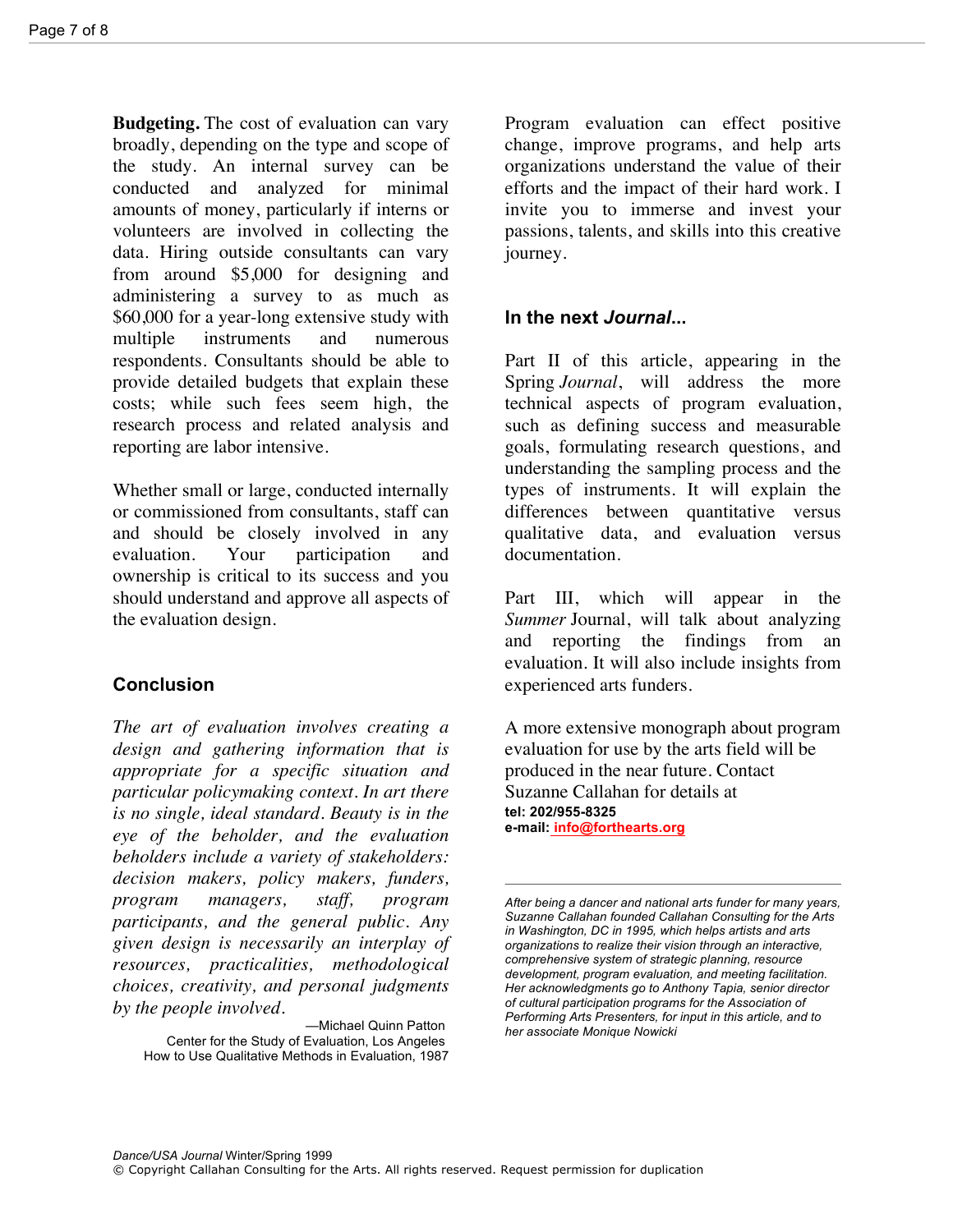**Budgeting.** The cost of evaluation can vary broadly, depending on the type and scope of the study. An internal survey can be conducted and analyzed for minimal amounts of money, particularly if interns or volunteers are involved in collecting the data. Hiring outside consultants can vary from around \$5,000 for designing and administering a survey to as much as \$60,000 for a year-long extensive study with multiple instruments and numerous respondents. Consultants should be able to provide detailed budgets that explain these costs; while such fees seem high, the research process and related analysis and reporting are labor intensive.

Whether small or large, conducted internally or commissioned from consultants, staff can and should be closely involved in any evaluation. Your participation and ownership is critical to its success and you should understand and approve all aspects of the evaluation design.

# **Conclusion**

*The art of evaluation involves creating a design and gathering information that is appropriate for a specific situation and particular policymaking context. In art there is no single, ideal standard. Beauty is in the eye of the beholder, and the evaluation beholders include a variety of stakeholders: decision makers, policy makers, funders, program managers, staff, program participants, and the general public. Any given design is necessarily an interplay of resources, practicalities, methodological choices, creativity, and personal judgments by the people involved.*

Program evaluation can effect positive change, improve programs, and help arts organizations understand the value of their efforts and the impact of their hard work. I invite you to immerse and invest your passions, talents, and skills into this creative journey.

#### **In the next** *Journal***...**

Part II of this article, appearing in the Spring *Journal*, will address the more technical aspects of program evaluation, such as defining success and measurable goals, formulating research questions, and understanding the sampling process and the types of instruments. It will explain the differences between quantitative versus qualitative data, and evaluation versus documentation.

Part III, which will appear in the *Summer* Journal, will talk about analyzing and reporting the findings from an evaluation. It will also include insights from experienced arts funders.

A more extensive monograph about program evaluation for use by the arts field will be produced in the near future. Contact Suzanne Callahan for details at **tel: 202/955-8325 e-mail: info@forthearts.org**

<sup>—</sup>Michael Quinn Patton Center for the Study of Evaluation, Los Angeles How to Use Qualitative Methods in Evaluation, 1987

*After being a dancer and national arts funder for many years, Suzanne Callahan founded Callahan Consulting for the Arts in Washington, DC in 1995, which helps artists and arts organizations to realize their vision through an interactive, comprehensive system of strategic planning, resource development, program evaluation, and meeting facilitation. Her acknowledgments go to Anthony Tapia, senior director of cultural participation programs for the Association of Performing Arts Presenters, for input in this article, and to her associate Monique Nowicki*